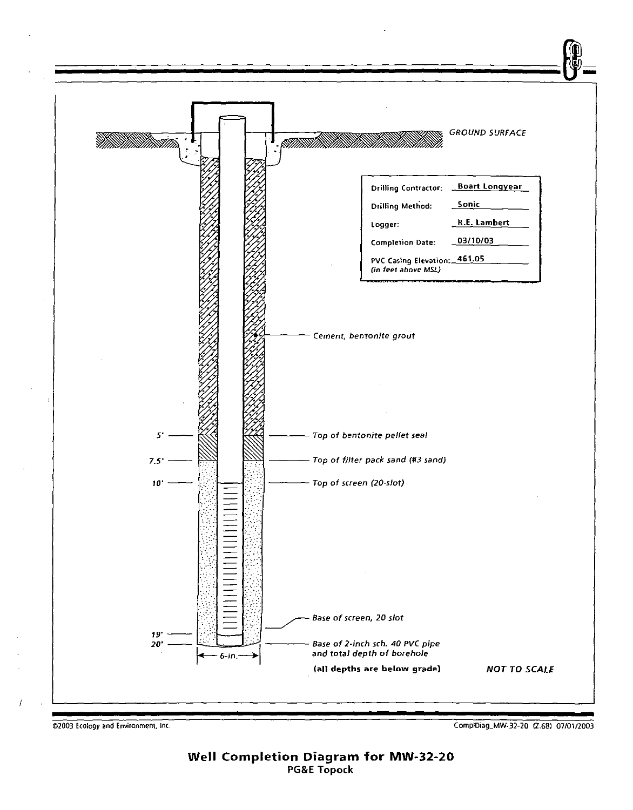

COLOGY AND Environment, Inc. 2003 Ecology and Environment, Inc. 2003 Ecology and Environment, Inc. 2003 Ecology and Environment, Inc.

Well Completion Diagram for MW-32-20 PG&E Topock